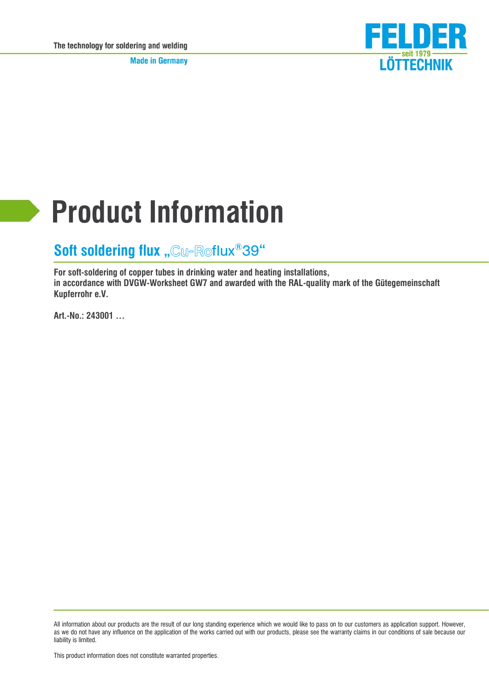**Made in Germany** 



# **Product Information**

## **Soft soldering flux "Cu-Roflux®39"**

**For soft-soldering of copper tubes in drinking water and heating installations, in accordance with DVGW-Worksheet GW7 and awarded with the RAL-quality mark of the Gütegemeinschaft Kupferrohr e.V.**

**Art.-No.: 243001 …**

All information about our products are the result of our long standing experience which we would like to pass on to our customers as application support. However, as we do not have any influence on the application of the works carried out with our products, please see the warranty claims in our conditions of sale because our liability is limited.